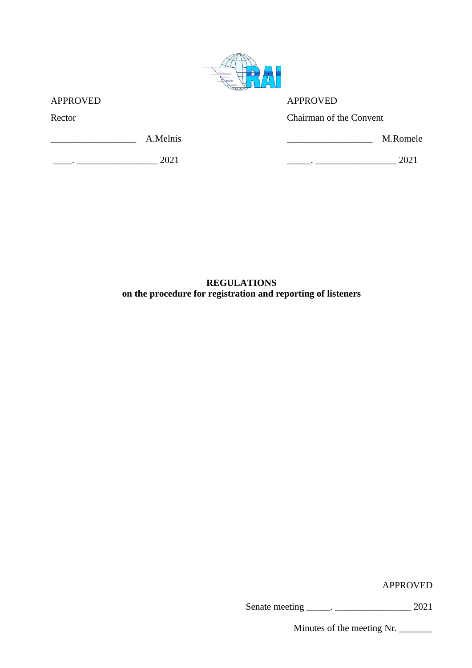

| <b>APPROVED</b> | <b>APPROVED</b>         |
|-----------------|-------------------------|
| Rector          | Chairman of the Convent |
| A.Melnis        | M.Romele                |
| 2021            | 2021                    |

**REGULATIONS on the procedure for registration and reporting of listeners**

APPROVED

Senate meeting \_\_\_\_\_. \_\_\_\_\_\_\_\_\_\_\_\_\_\_\_\_ 2021

Minutes of the meeting Nr.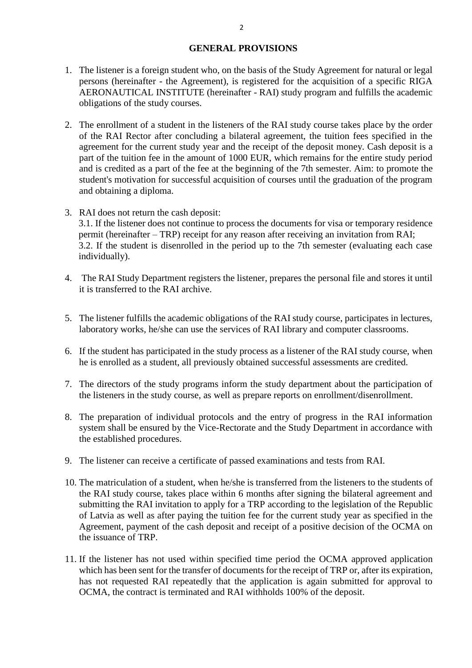## **GENERAL PROVISIONS**

- 1. The listener is a foreign student who, on the basis of the Study Agreement for natural or legal persons (hereinafter - the Agreement), is registered for the acquisition of a specific RIGA AERONAUTICAL INSTITUTE (hereinafter - RAI) study program and fulfills the academic obligations of the study courses.
- 2. The enrollment of a student in the listeners of the RAI study course takes place by the order of the RAI Rector after concluding a bilateral agreement, the tuition fees specified in the agreement for the current study year and the receipt of the deposit money. Cash deposit is a part of the tuition fee in the amount of 1000 EUR, which remains for the entire study period and is credited as a part of the fee at the beginning of the 7th semester. Aim: to promote the student's motivation for successful acquisition of courses until the graduation of the program and obtaining a diploma.
- 3. RAI does not return the cash deposit: 3.1. If the listener does not continue to process the documents for visa or temporary residence permit (hereinafter – TRP) receipt for any reason after receiving an invitation from RAI; 3.2. If the student is disenrolled in the period up to the 7th semester (evaluating each case individually).
- 4. The RAI Study Department registers the listener, prepares the personal file and stores it until it is transferred to the RAI archive.
- 5. The listener fulfills the academic obligations of the RAI study course, participates in lectures, laboratory works, he/she can use the services of RAI library and computer classrooms.
- 6. If the student has participated in the study process as a listener of the RAI study course, when he is enrolled as a student, all previously obtained successful assessments are credited.
- 7. The directors of the study programs inform the study department about the participation of the listeners in the study course, as well as prepare reports on enrollment/disenrollment.
- 8. The preparation of individual protocols and the entry of progress in the RAI information system shall be ensured by the Vice-Rectorate and the Study Department in accordance with the established procedures.
- 9. The listener can receive a certificate of passed examinations and tests from RAI.
- 10. The matriculation of a student, when he/she is transferred from the listeners to the students of the RAI study course, takes place within 6 months after signing the bilateral agreement and submitting the RAI invitation to apply for a TRP according to the legislation of the Republic of Latvia as well as after paying the tuition fee for the current study year as specified in the Agreement, payment of the cash deposit and receipt of a positive decision of the OCMA on the issuance of TRP.
- 11. If the listener has not used within specified time period the OCMA approved application which has been sent for the transfer of documents for the receipt of TRP or, after its expiration, has not requested RAI repeatedly that the application is again submitted for approval to OCMA, the contract is terminated and RAI withholds 100% of the deposit.